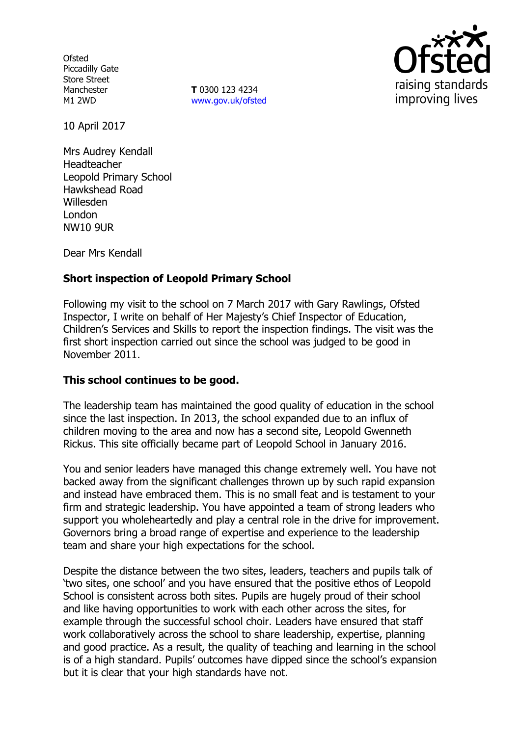**Ofsted** Piccadilly Gate Store Street Manchester M1 2WD

**T** 0300 123 4234 www.gov.uk/ofsted



10 April 2017

Mrs Audrey Kendall Headteacher Leopold Primary School Hawkshead Road Willesden London NW10 9UR

Dear Mrs Kendall

# **Short inspection of Leopold Primary School**

Following my visit to the school on 7 March 2017 with Gary Rawlings, Ofsted Inspector, I write on behalf of Her Majesty's Chief Inspector of Education, Children's Services and Skills to report the inspection findings. The visit was the first short inspection carried out since the school was judged to be good in November 2011.

## **This school continues to be good.**

The leadership team has maintained the good quality of education in the school since the last inspection. In 2013, the school expanded due to an influx of children moving to the area and now has a second site, Leopold Gwenneth Rickus. This site officially became part of Leopold School in January 2016.

You and senior leaders have managed this change extremely well. You have not backed away from the significant challenges thrown up by such rapid expansion and instead have embraced them. This is no small feat and is testament to your firm and strategic leadership. You have appointed a team of strong leaders who support you wholeheartedly and play a central role in the drive for improvement. Governors bring a broad range of expertise and experience to the leadership team and share your high expectations for the school.

Despite the distance between the two sites, leaders, teachers and pupils talk of 'two sites, one school' and you have ensured that the positive ethos of Leopold School is consistent across both sites. Pupils are hugely proud of their school and like having opportunities to work with each other across the sites, for example through the successful school choir. Leaders have ensured that staff work collaboratively across the school to share leadership, expertise, planning and good practice. As a result, the quality of teaching and learning in the school is of a high standard. Pupils' outcomes have dipped since the school's expansion but it is clear that your high standards have not.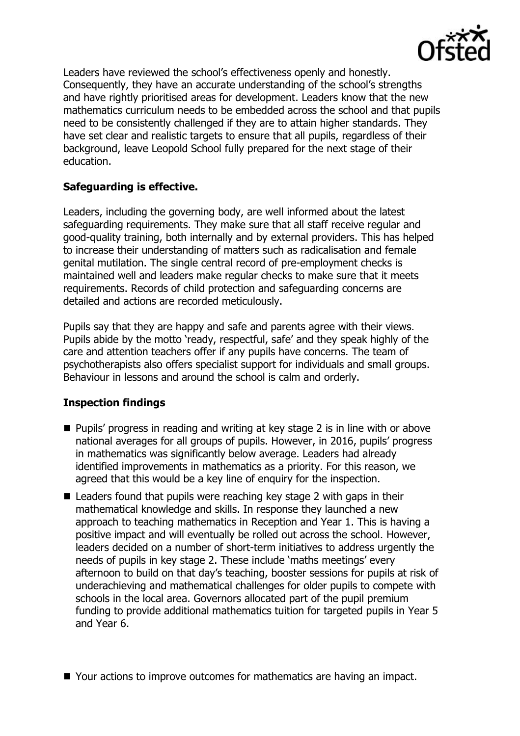

Leaders have reviewed the school's effectiveness openly and honestly. Consequently, they have an accurate understanding of the school's strengths and have rightly prioritised areas for development. Leaders know that the new mathematics curriculum needs to be embedded across the school and that pupils need to be consistently challenged if they are to attain higher standards. They have set clear and realistic targets to ensure that all pupils, regardless of their background, leave Leopold School fully prepared for the next stage of their education.

# **Safeguarding is effective.**

Leaders, including the governing body, are well informed about the latest safeguarding requirements. They make sure that all staff receive regular and good-quality training, both internally and by external providers. This has helped to increase their understanding of matters such as radicalisation and female genital mutilation. The single central record of pre-employment checks is maintained well and leaders make regular checks to make sure that it meets requirements. Records of child protection and safeguarding concerns are detailed and actions are recorded meticulously.

Pupils say that they are happy and safe and parents agree with their views. Pupils abide by the motto 'ready, respectful, safe' and they speak highly of the care and attention teachers offer if any pupils have concerns. The team of psychotherapists also offers specialist support for individuals and small groups. Behaviour in lessons and around the school is calm and orderly.

## **Inspection findings**

- $\blacksquare$  Pupils' progress in reading and writing at key stage 2 is in line with or above national averages for all groups of pupils. However, in 2016, pupils' progress in mathematics was significantly below average. Leaders had already identified improvements in mathematics as a priority. For this reason, we agreed that this would be a key line of enquiry for the inspection.
- $\blacksquare$  Leaders found that pupils were reaching key stage 2 with gaps in their mathematical knowledge and skills. In response they launched a new approach to teaching mathematics in Reception and Year 1. This is having a positive impact and will eventually be rolled out across the school. However, leaders decided on a number of short-term initiatives to address urgently the needs of pupils in key stage 2. These include 'maths meetings' every afternoon to build on that day's teaching, booster sessions for pupils at risk of underachieving and mathematical challenges for older pupils to compete with schools in the local area. Governors allocated part of the pupil premium funding to provide additional mathematics tuition for targeted pupils in Year 5 and Year 6.

■ Your actions to improve outcomes for mathematics are having an impact.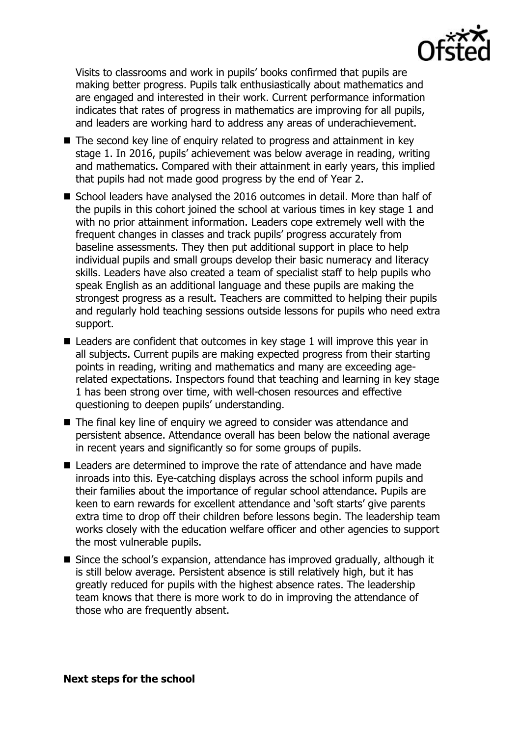

Visits to classrooms and work in pupils' books confirmed that pupils are making better progress. Pupils talk enthusiastically about mathematics and are engaged and interested in their work. Current performance information indicates that rates of progress in mathematics are improving for all pupils, and leaders are working hard to address any areas of underachievement.

- The second key line of enquiry related to progress and attainment in key stage 1. In 2016, pupils' achievement was below average in reading, writing and mathematics. Compared with their attainment in early years, this implied that pupils had not made good progress by the end of Year 2.
- School leaders have analysed the 2016 outcomes in detail. More than half of the pupils in this cohort joined the school at various times in key stage 1 and with no prior attainment information. Leaders cope extremely well with the frequent changes in classes and track pupils' progress accurately from baseline assessments. They then put additional support in place to help individual pupils and small groups develop their basic numeracy and literacy skills. Leaders have also created a team of specialist staff to help pupils who speak English as an additional language and these pupils are making the strongest progress as a result. Teachers are committed to helping their pupils and regularly hold teaching sessions outside lessons for pupils who need extra support.
- Leaders are confident that outcomes in key stage 1 will improve this year in all subjects. Current pupils are making expected progress from their starting points in reading, writing and mathematics and many are exceeding agerelated expectations. Inspectors found that teaching and learning in key stage 1 has been strong over time, with well-chosen resources and effective questioning to deepen pupils' understanding.
- The final key line of enquiry we agreed to consider was attendance and persistent absence. Attendance overall has been below the national average in recent years and significantly so for some groups of pupils.
- Leaders are determined to improve the rate of attendance and have made inroads into this. Eye-catching displays across the school inform pupils and their families about the importance of regular school attendance. Pupils are keen to earn rewards for excellent attendance and 'soft starts' give parents extra time to drop off their children before lessons begin. The leadership team works closely with the education welfare officer and other agencies to support the most vulnerable pupils.
- Since the school's expansion, attendance has improved gradually, although it is still below average. Persistent absence is still relatively high, but it has greatly reduced for pupils with the highest absence rates. The leadership team knows that there is more work to do in improving the attendance of those who are frequently absent.